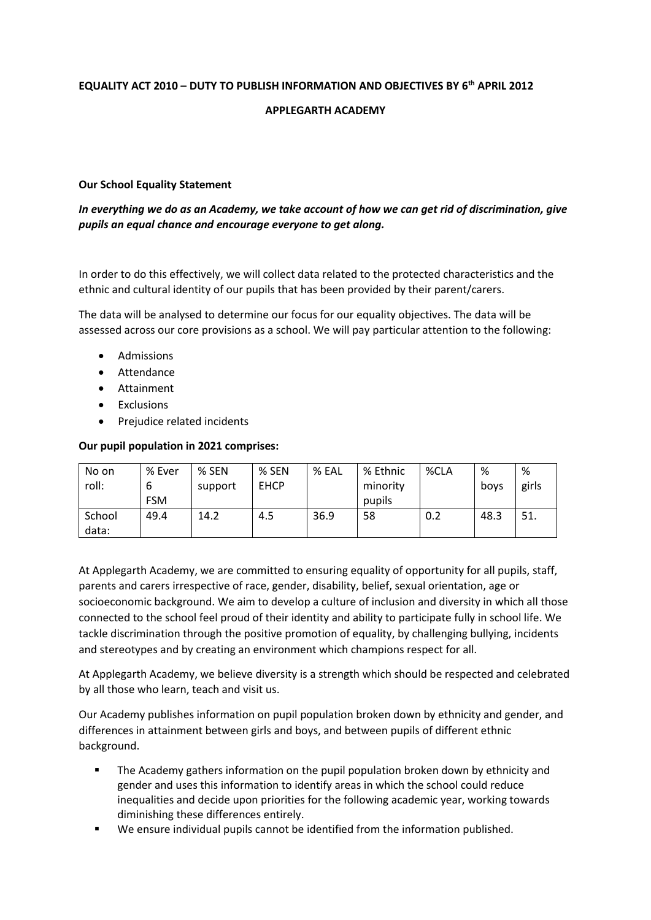# **EQUALITY ACT 2010 – DUTY TO PUBLISH INFORMATION AND OBJECTIVES BY 6th APRIL 2012**

## **APPLEGARTH ACADEMY**

### **Our School Equality Statement**

*In everything we do as an Academy, we take account of how we can get rid of discrimination, give pupils an equal chance and encourage everyone to get along.*

In order to do this effectively, we will collect data related to the protected characteristics and the ethnic and cultural identity of our pupils that has been provided by their parent/carers.

The data will be analysed to determine our focus for our equality objectives. The data will be assessed across our core provisions as a school. We will pay particular attention to the following:

- Admissions
- Attendance
- Attainment
- Exclusions
- Prejudice related incidents

#### **Our pupil population in 2021 comprises:**

| No on<br>roll:  | % Ever<br>6<br><b>FSM</b> | $%$ SEN<br>support | % SEN<br><b>EHCP</b> | % EAL | % Ethnic<br>minority<br>pupils | %CLA | %<br>boys | %<br>girls |
|-----------------|---------------------------|--------------------|----------------------|-------|--------------------------------|------|-----------|------------|
| School<br>data: | 49.4                      | 14.2               | 4.5                  | 36.9  | 58                             | 0.2  | 48.3      | 51.        |

At Applegarth Academy, we are committed to ensuring equality of opportunity for all pupils, staff, parents and carers irrespective of race, gender, disability, belief, sexual orientation, age or socioeconomic background. We aim to develop a culture of inclusion and diversity in which all those connected to the school feel proud of their identity and ability to participate fully in school life. We tackle discrimination through the positive promotion of equality, by challenging bullying, incidents and stereotypes and by creating an environment which champions respect for all.

At Applegarth Academy, we believe diversity is a strength which should be respected and celebrated by all those who learn, teach and visit us.

Our Academy publishes information on pupil population broken down by ethnicity and gender, and differences in attainment between girls and boys, and between pupils of different ethnic background.

- The Academy gathers information on the pupil population broken down by ethnicity and gender and uses this information to identify areas in which the school could reduce inequalities and decide upon priorities for the following academic year, working towards diminishing these differences entirely.
- We ensure individual pupils cannot be identified from the information published.